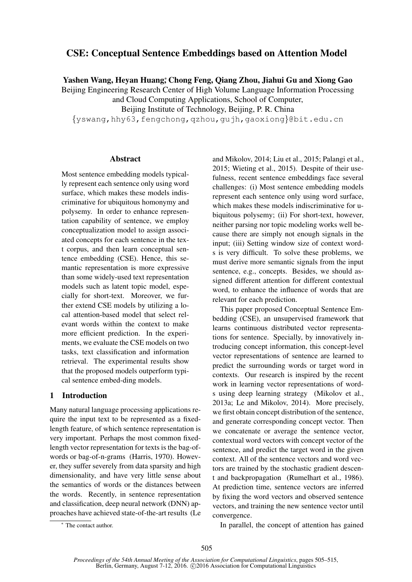# CSE: Conceptual Sentence Embeddings based on Attention Model

Yashen Wang, Heyan Huang\*, Chong Feng, Qiang Zhou, Jiahui Gu and Xiong Gao

Beijing Engineering Research Center of High Volume Language Information Processing and Cloud Computing Applications, School of Computer,

Beijing Institute of Technology, Beijing, P. R. China

{yswang,hhy63,fengchong,qzhou,gujh,gaoxiong}@bit.edu.cn

### Abstract

Most sentence embedding models typically represent each sentence only using word surface, which makes these models indiscriminative for ubiquitous homonymy and polysemy. In order to enhance representation capability of sentence, we employ conceptualization model to assign associated concepts for each sentence in the text corpus, and then learn conceptual sentence embedding (CSE). Hence, this semantic representation is more expressive than some widely-used text representation models such as latent topic model, especially for short-text. Moreover, we further extend CSE models by utilizing a local attention-based model that select relevant words within the context to make more efficient prediction. In the experiments, we evaluate the CSE models on two tasks, text classification and information retrieval. The experimental results show that the proposed models outperform typical sentence embed-ding models.

#### 1 Introduction

Many natural language processing applications require the input text to be represented as a fixedlength feature, of which sentence representation is very important. Perhaps the most common fixedlength vector representation for texts is the bag-ofwords or bag-of-n-grams (Harris, 1970). However, they suffer severely from data sparsity and high dimensionality, and have very little sense about the semantics of words or the distances between the words. Recently, in sentence representation and classification, deep neural network (DNN) approaches have achieved state-of-the-art results (Le and Mikolov, 2014; Liu et al., 2015; Palangi et al., 2015; Wieting et al., 2015). Despite of their usefulness, recent sentence embeddings face several challenges: (i) Most sentence embedding models represent each sentence only using word surface, which makes these models indiscriminative for ubiquitous polysemy; (ii) For short-text, however, neither parsing nor topic modeling works well because there are simply not enough signals in the input; (iii) Setting window size of context words is very difficult. To solve these problems, we must derive more semantic signals from the input sentence, e.g., concepts. Besides, we should assigned different attention for different contextual word, to enhance the influence of words that are relevant for each prediction.

This paper proposed Conceptual Sentence Embedding (CSE), an unsupervised framework that learns continuous distributed vector representations for sentence. Specially, by innovatively introducing concept information, this concept-level vector representations of sentence are learned to predict the surrounding words or target word in contexts. Our research is inspired by the recent work in learning vector representations of words using deep learning strategy (Mikolov et al., 2013a; Le and Mikolov, 2014). More precisely, we first obtain concept distribution of the sentence, and generate corresponding concept vector. Then we concatenate or average the sentence vector, contextual word vectors with concept vector of the sentence, and predict the target word in the given context. All of the sentence vectors and word vectors are trained by the stochastic gradient descent and backpropagation (Rumelhart et al., 1986). At prediction time, sentence vectors are inferred by fixing the word vectors and observed sentence vectors, and training the new sentence vector until convergence.

In parallel, the concept of attention has gained

<sup>∗</sup> The contact author.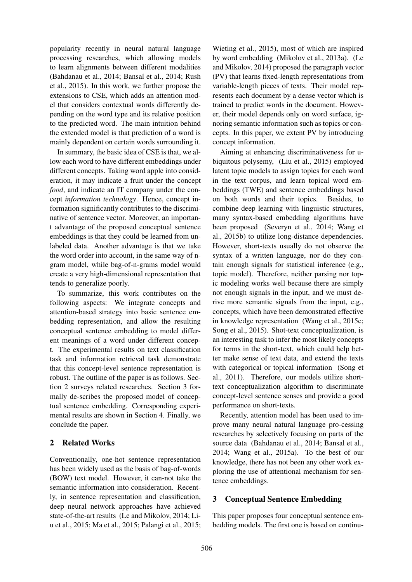popularity recently in neural natural language processing researches, which allowing models to learn alignments between different modalities (Bahdanau et al., 2014; Bansal et al., 2014; Rush et al., 2015). In this work, we further propose the extensions to CSE, which adds an attention model that considers contextual words differently depending on the word type and its relative position to the predicted word. The main intuition behind the extended model is that prediction of a word is mainly dependent on certain words surrounding it.

In summary, the basic idea of CSE is that, we allow each word to have different embeddings under different concepts. Taking word apple into consideration, it may indicate a fruit under the concept *food*, and indicate an IT company under the concept *information technology*. Hence, concept information significantly contributes to the discriminative of sentence vector. Moreover, an important advantage of the proposed conceptual sentence embeddings is that they could be learned from unlabeled data. Another advantage is that we take the word order into account, in the same way of ngram model, while bag-of-n-grams model would create a very high-dimensional representation that tends to generalize poorly.

To summarize, this work contributes on the following aspects: We integrate concepts and attention-based strategy into basic sentence embedding representation, and allow the resulting conceptual sentence embedding to model different meanings of a word under different concept. The experimental results on text classification task and information retrieval task demonstrate that this concept-level sentence representation is robust. The outline of the paper is as follows. Section 2 surveys related researches. Section 3 formally de-scribes the proposed model of conceptual sentence embedding. Corresponding experimental results are shown in Section 4. Finally, we conclude the paper.

# 2 Related Works

Conventionally, one-hot sentence representation has been widely used as the basis of bag-of-words (BOW) text model. However, it can-not take the semantic information into consideration. Recently, in sentence representation and classification, deep neural network approaches have achieved state-of-the-art results (Le and Mikolov, 2014; Liu et al., 2015; Ma et al., 2015; Palangi et al., 2015;

Wieting et al., 2015), most of which are inspired by word embedding (Mikolov et al., 2013a). (Le and Mikolov, 2014) proposed the paragraph vector (PV) that learns fixed-length representations from variable-length pieces of texts. Their model represents each document by a dense vector which is trained to predict words in the document. However, their model depends only on word surface, ignoring semantic information such as topics or concepts. In this paper, we extent PV by introducing concept information.

Aiming at enhancing discriminativeness for ubiquitous polysemy, (Liu et al., 2015) employed latent topic models to assign topics for each word in the text corpus, and learn topical word embeddings (TWE) and sentence embeddings based on both words and their topics. Besides, to combine deep learning with linguistic structures, many syntax-based embedding algorithms have been proposed (Severyn et al., 2014; Wang et al., 2015b) to utilize long-distance dependencies. However, short-texts usually do not observe the syntax of a written language, nor do they contain enough signals for statistical inference (e.g., topic model). Therefore, neither parsing nor topic modeling works well because there are simply not enough signals in the input, and we must derive more semantic signals from the input, e.g., concepts, which have been demonstrated effective in knowledge representation (Wang et al., 2015c; Song et al., 2015). Shot-text conceptualization, is an interesting task to infer the most likely concepts for terms in the short-text, which could help better make sense of text data, and extend the texts with categorical or topical information (Song et al., 2011). Therefore, our models utilize shorttext conceptualization algorithm to discriminate concept-level sentence senses and provide a good performance on short-texts.

Recently, attention model has been used to improve many neural natural language pro-cessing researches by selectively focusing on parts of the source data (Bahdanau et al., 2014; Bansal et al., 2014; Wang et al., 2015a). To the best of our knowledge, there has not been any other work exploring the use of attentional mechanism for sentence embeddings.

# 3 Conceptual Sentence Embedding

This paper proposes four conceptual sentence embedding models. The first one is based on continu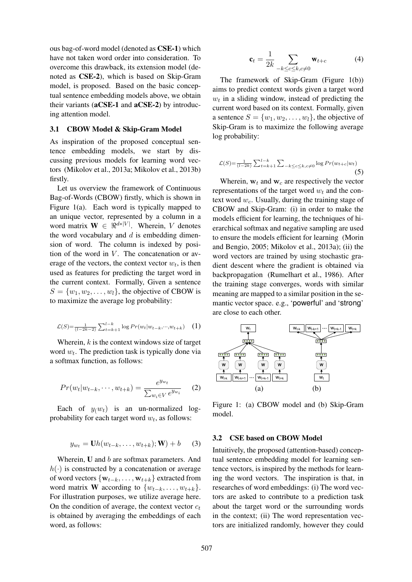ous bag-of-word model (denoted as CSE-1) which have not taken word order into consideration. To overcome this drawback, its extension model (denoted as CSE-2), which is based on Skip-Gram model, is proposed. Based on the basic conceptual sentence embedding models above, we obtain their variants (aCSE-1 and aCSE-2) by introducing attention model.

#### 3.1 CBOW Model & Skip-Gram Model

As inspiration of the proposed conceptual sentence embedding models, we start by discussing previous models for learning word vectors (Mikolov et al., 2013a; Mikolov et al., 2013b) firstly.

Let us overview the framework of Continuous Bag-of-Words (CBOW) firstly, which is shown in Figure 1(a). Each word is typically mapped to an unique vector, represented by a column in a word matrix  $\mathbf{W} \in \mathbb{R}^{d*|V|}$ . Wherein, V denotes the word vocabulary and  $d$  is embedding dimension of word. The column is indexed by position of the word in  $V$ . The concatenation or average of the vectors, the context vector  $w_t$ , is then used as features for predicting the target word in the current context. Formally, Given a sentence  $S = \{w_1, w_2, \dots, w_l\}$ , the objective of CBOW is to maximize the average log probability:

$$
\mathcal{L}(S) = \frac{1}{(l-2k-2)} \sum_{t=k+1}^{l-k} \log Pr(w_t|w_{t-k}, \cdots, w_{t+k}) \quad (1)
$$

Wherein,  $k$  is the context windows size of target word  $w_t$ . The prediction task is typically done via a softmax function, as follows:

$$
Pr(w_t|w_{t-k}, \cdots, w_{t+k}) = \frac{e^{y_{w_t}}}{\sum_{w_i \in V} e^{y_{w_i}}} \qquad (2)
$$

Each of  $y(w_t)$  is an un-normalized logprobability for each target word  $w_t$ , as follows:

$$
y_{w_t} = \mathbf{U}h(w_{t-k},\ldots,w_{t+k});\mathbf{W}) + b \qquad (3)
$$

Wherein, **U** and *b* are softmax parameters. And  $h(\cdot)$  is constructed by a concatenation or average of word vectors  $\{w_{t-k}, \ldots, w_{t+k}\}\$ extracted from word matrix **W** according to  $\{w_{t-k}, \ldots, w_{t+k}\}.$ For illustration purposes, we utilize average here. On the condition of average, the context vector  $c_t$ is obtained by averaging the embeddings of each word, as follows:

$$
\mathbf{c}_t = \frac{1}{2k} \sum_{-k \le c \le k, c \neq 0} \mathbf{w}_{t+c} \tag{4}
$$

The framework of Skip-Gram (Figure 1(b)) aims to predict context words given a target word  $w_t$  in a sliding window, instead of predicting the current word based on its context. Formally, given a sentence  $S = \{w_1, w_2, \dots, w_l\}$ , the objective of Skip-Gram is to maximize the following average log probability:

$$
\mathcal{L}(S) = \frac{1}{(l-2k)} \sum_{t=k+1}^{l-k} \sum_{-k \le c \le k, c \ne 0} \log Pr(w_{t+c}|w_t)
$$
\n(5)

Wherein,  $w_t$  and  $w_c$  are respectively the vector representations of the target word  $w_t$  and the context word  $w_c$ . Usually, during the training stage of CBOW and Skip-Gram: (i) in order to make the models efficient for learning, the techniques of hierarchical softmax and negative sampling are used to ensure the models efficient for learning (Morin and Bengio, 2005; Mikolov et al., 2013a); (ii) the word vectors are trained by using stochastic gradient descent where the gradient is obtained via backpropagation (Rumelhart et al., 1986). After the training stage converges, words with similar meaning are mapped to a similar position in the semantic vector space. e.g., 'powerful' and 'strong' are close to each other.



Figure 1: (a) CBOW model and (b) Skip-Gram model.

#### 3.2 CSE based on CBOW Model

Intuitively, the proposed (attention-based) conceptual sentence embedding model for learning sentence vectors, is inspired by the methods for learning the word vectors. The inspiration is that, in researches of word embeddings: (i) The word vectors are asked to contribute to a prediction task about the target word or the surrounding words in the context; (ii) The word representation vectors are initialized randomly, however they could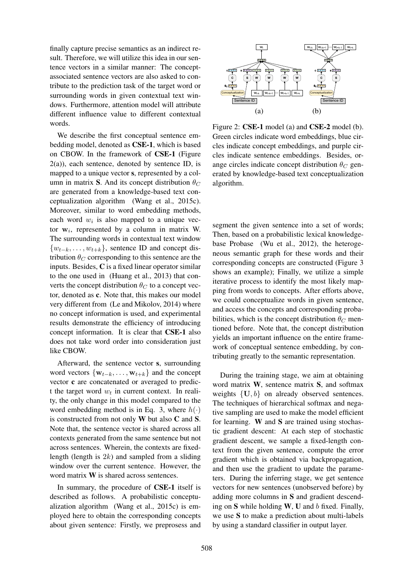finally capture precise semantics as an indirect result. Therefore, we will utilize this idea in our sentence vectors in a similar manner: The conceptassociated sentence vectors are also asked to contribute to the prediction task of the target word or surrounding words in given contextual text windows. Furthermore, attention model will attribute different influence value to different contextual words.

We describe the first conceptual sentence embedding model, denoted as CSE-1, which is based on CBOW. In the framework of CSE-1 (Figure  $2(a)$ ), each sentence, denoted by sentence ID, is mapped to a unique vector s, represented by a column in matrix S. And its concept distribution  $\theta_C$ are generated from a knowledge-based text conceptualization algorithm (Wang et al., 2015c). Moreover, similar to word embedding methods, each word  $w_i$  is also mapped to a unique vector  $w_i$ , represented by a column in matrix W. The surrounding words in contextual text window  $\{w_{t-k}, \ldots, w_{t+k}\}\$ , sentence ID and concept distribution  $\theta_C$  corresponding to this sentence are the inputs. Besides, C is a fixed linear operator similar to the one used in (Huang et al., 2013) that converts the concept distribution  $\theta_C$  to a concept vector, denoted as c. Note that, this makes our model very different from (Le and Mikolov, 2014) where no concept information is used, and experimental results demonstrate the efficiency of introducing concept information. It is clear that CSE-1 also does not take word order into consideration just like CBOW.

Afterward, the sentence vector s, surrounding word vectors  $\{w_{t-k}, \ldots, w_{t+k}\}\$  and the concept vector c are concatenated or averaged to predict the target word  $w_t$  in current context. In reality, the only change in this model compared to the word embedding method is in Eq. 3, where  $h(\cdot)$ is constructed from not only W but also C and S. Note that, the sentence vector is shared across all contexts generated from the same sentence but not across sentences. Wherein, the contexts are fixedlength (length is  $2k$ ) and sampled from a sliding window over the current sentence. However, the word matrix W is shared across sentences.

In summary, the procedure of CSE-1 itself is described as follows. A probabilistic conceptualization algorithm (Wang et al., 2015c) is employed here to obtain the corresponding concepts about given sentence: Firstly, we preprosess and



Figure 2: CSE-1 model (a) and CSE-2 model (b). Green circles indicate word embeddings, blue circles indicate concept embeddings, and purple circles indicate sentence embeddings. Besides, orange circles indicate concept distribution  $\theta_C$  generated by knowledge-based text conceptualization algorithm.

segment the given sentence into a set of words; Then, based on a probabilistic lexical knowledgebase Probase (Wu et al., 2012), the heterogeneous semantic graph for these words and their corresponding concepts are constructed (Figure 3 shows an example); Finally, we utilize a simple iterative process to identify the most likely mapping from words to concepts. After efforts above, we could conceptualize words in given sentence, and access the concepts and corresponding probabilities, which is the concept distribution  $\theta_C$  mentioned before. Note that, the concept distribution yields an important influence on the entire framework of conceptual sentence embedding, by contributing greatly to the semantic representation.

During the training stage, we aim at obtaining word matrix W, sentence matrix S, and softmax weights  ${U, b}$  on already observed sentences. The techniques of hierarchical softmax and negative sampling are used to make the model efficient for learning.  $W$  and  $S$  are trained using stochastic gradient descent: At each step of stochastic gradient descent, we sample a fixed-length context from the given sentence, compute the error gradient which is obtained via backpropagation, and then use the gradient to update the parameters. During the inferring stage, we get sentence vectors for new sentences (unobserved before) by adding more columns in S and gradient descending on  $S$  while holding  $W$ ,  $U$  and  $b$  fixed. Finally, we use S to make a prediction about multi-labels by using a standard classifier in output layer.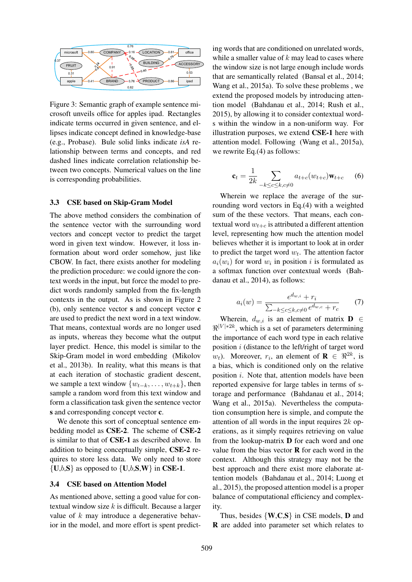

Figure 3: Semantic graph of example sentence microsoft unveils office for apples ipad. Rectangles indicate terms occurred in given sentence, and ellipses indicate concept defined in knowledge-base (e.g., Probase). Bule solid links indicate *isA* relationship between terms and concepts, and red dashed lines indicate correlation relationship between two concepts. Numerical values on the line is corresponding probabilities.

#### 3.3 CSE based on Skip-Gram Model

The above method considers the combination of the sentence vector with the surrounding word vectors and concept vector to predict the target word in given text window. However, it loss information about word order somehow, just like CBOW. In fact, there exists another for modeling the prediction procedure: we could ignore the context words in the input, but force the model to predict words randomly sampled from the fix-length contexts in the output. As is shown in Figure 2 (b), only sentence vector s and concept vector c are used to predict the next word in a text window. That means, contextual words are no longer used as inputs, whereas they become what the output layer predict. Hence, this model is similar to the Skip-Gram model in word embedding (Mikolov et al., 2013b). In reality, what this means is that at each iteration of stochastic gradient descent, we sample a text window  $\{w_{t-k}, \ldots, w_{t+k}\}\$ , then sample a random word from this text window and form a classification task given the sentence vector s and corresponding concept vector **c**.

We denote this sort of conceptual sentence embedding model as CSE-2. The scheme of CSE-2 is similar to that of CSE-1 as described above. In addition to being conceptually simple, CSE-2 requires to store less data. We only need to store  $\{U,b,S\}$  as opposed to  $\{U,b,S,W\}$  in CSE-1.

#### 3.4 CSE based on Attention Model

As mentioned above, setting a good value for contextual window size  $k$  is difficult. Because a larger value of k may introduce a degenerative behavior in the model, and more effort is spent predict-

ing words that are conditioned on unrelated words, while a smaller value of  $k$  may lead to cases where the window size is not large enough include words that are semantically related (Bansal et al., 2014; Wang et al., 2015a). To solve these problems , we extend the proposed models by introducing attention model (Bahdanau et al., 2014; Rush et al., 2015), by allowing it to consider contextual words within the window in a non-uniform way. For illustration purposes, we extend CSE-1 here with attention model. Following (Wang et al., 2015a), we rewrite Eq.(4) as follows:

$$
\mathbf{c}_t = \frac{1}{2k} \sum_{-k \le c \le k, c \neq 0} a_{t+c}(w_{t+c}) \mathbf{w}_{t+c} \qquad (6)
$$

Wherein we replace the average of the surrounding word vectors in Eq.(4) with a weighted sum of the these vectors. That means, each contextual word  $w_{t+c}$  is attributed a different attention level, representing how much the attention model believes whether it is important to look at in order to predict the target word  $w_t$ . The attention factor  $a_i(w_i)$  for word  $w_i$  in position i is formulated as a softmax function over contextual words (Bahdanau et al., 2014), as follows:

$$
a_i(w) = \frac{e^{d_{w,i}} + r_i}{\sum_{-k \le c \le k, c \ne 0} e^{d_{w,c}} + r_c}
$$
 (7)

Wherein,  $d_{w,i}$  is an element of matrix  $\mathbf{D} \in$  $\Re^{|V|*2k}$ , which is a set of parameters determining the importance of each word type in each relative position  $i$  (distance to the left/right of target word  $w_t$ ). Moreover,  $r_i$ , an element of  $\mathbf{R} \in \mathbb{R}^{2k}$ , is a bias, which is conditioned only on the relative position i. Note that, attention models have been reported expensive for large tables in terms of storage and performance (Bahdanau et al., 2014; Wang et al., 2015a). Nevertheless the computation consumption here is simple, and compute the attention of all words in the input requires  $2k$  operations, as it simply requires retrieving on value from the lookup-matrix D for each word and one value from the bias vector  **for each word in the** context. Although this strategy may not be the best approach and there exist more elaborate attention models (Bahdanau et al., 2014; Luong et al., 2015), the proposed attention model is a proper balance of computational efficiency and complexity.

Thus, besides  $\{W, C, S\}$  in CSE models, **D** and R are added into parameter set which relates to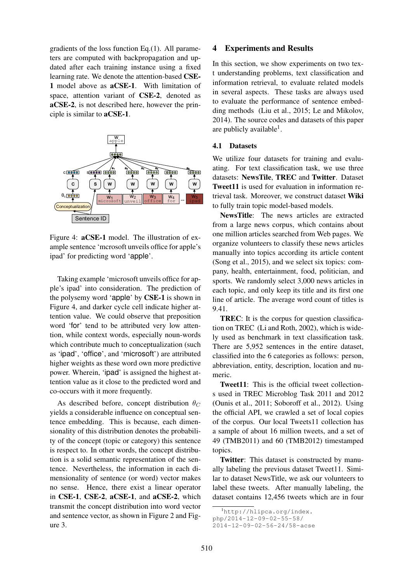gradients of the loss function Eq.(1). All parameters are computed with backpropagation and updated after each training instance using a fixed learning rate. We denote the attention-based CSE-1 model above as aCSE-1. With limitation of space, attention variant of CSE-2, denoted as aCSE-2, is not described here, however the principle is similar to aCSE-1.



Figure 4: aCSE-1 model. The illustration of example sentence 'mcrosoft unveils office for apple's ipad' for predicting word 'apple'.

Taking example 'microsoft unveils office for apple's ipad' into consideration. The prediction of the polysemy word 'apple' by CSE-1 is shown in Figure 4, and darker cycle cell indicate higher attention value. We could observe that preposition word 'for' tend to be attributed very low attention, while context words, especially noun-words which contribute much to conceptualization (such as 'ipad', 'office', and 'microsoft') are attributed higher weights as these word own more predictive power. Wherein, 'ipad' is assigned the highest attention value as it close to the predicted word and co-occurs with it more frequently.

As described before, concept distribution  $\theta_C$ yields a considerable influence on conceptual sentence embedding. This is because, each dimensionality of this distribution denotes the probability of the concept (topic or category) this sentence is respect to. In other words, the concept distribution is a solid semantic representation of the sentence. Nevertheless, the information in each dimensionality of sentence (or word) vector makes no sense. Hence, there exist a linear operator in CSE-1, CSE-2, aCSE-1, and aCSE-2, which transmit the concept distribution into word vector and sentence vector, as shown in Figure 2 and Figure 3.

#### 4 Experiments and Results

In this section, we show experiments on two text understanding problems, text classification and information retrieval, to evaluate related models in several aspects. These tasks are always used to evaluate the performance of sentence embedding methods (Liu et al., 2015; Le and Mikolov, 2014). The source codes and datasets of this paper are publicly available<sup>1</sup>.

#### 4.1 Datasets

We utilize four datasets for training and evaluating. For text classification task, we use three datasets: NewsTile, TREC and Twitter. Dataset Tweet11 is used for evaluation in information retrieval task. Moreover, we construct dataset Wiki to fully train topic model-based models.

NewsTitle: The news articles are extracted from a large news corpus, which contains about one million articles searched from Web pages. We organize volunteers to classify these news articles manually into topics according its article content (Song et al., 2015), and we select six topics: company, health, entertainment, food, politician, and sports. We randomly select 3,000 news articles in each topic, and only keep its title and its first one line of article. The average word count of titles is 9.41.

TREC: It is the corpus for question classification on TREC (Li and Roth, 2002), which is widely used as benchmark in text classification task. There are 5,952 sentences in the entire dataset, classified into the 6 categories as follows: person, abbreviation, entity, description, location and numeric.

Tweet11: This is the official tweet collections used in TREC Microblog Task 2011 and 2012 (Ounis et al., 2011; Soboroff et al., 2012). Using the official API, we crawled a set of local copies of the corpus. Our local Tweets11 collection has a sample of about 16 million tweets, and a set of 49 (TMB2011) and 60 (TMB2012) timestamped topics.

Twitter: This dataset is constructed by manually labeling the previous dataset Tweet11. Similar to dataset NewsTitle, we ask our volunteers to label these tweets. After manually labeling, the dataset contains 12,456 tweets which are in four

<sup>&</sup>lt;sup>1</sup>http://hlipca.org/index.

php/2014-12-09-02-55-58/

<sup>2014-12-09-02-56-24/58-</sup>acse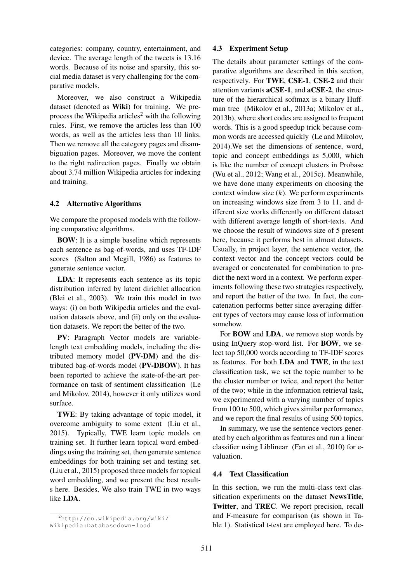categories: company, country, entertainment, and device. The average length of the tweets is 13.16 words. Because of its noise and sparsity, this social media dataset is very challenging for the comparative models.

Moreover, we also construct a Wikipedia dataset (denoted as Wiki) for training. We preprocess the Wikipedia articles<sup>2</sup> with the following rules. First, we remove the articles less than 100 words, as well as the articles less than 10 links. Then we remove all the category pages and disambiguation pages. Moreover, we move the content to the right redirection pages. Finally we obtain about 3.74 million Wikipedia articles for indexing and training.

#### 4.2 Alternative Algorithms

We compare the proposed models with the following comparative algorithms.

BOW: It is a simple baseline which represents each sentence as bag-of-words, and uses TF-IDF scores (Salton and Mcgill, 1986) as features to generate sentence vector.

LDA: It represents each sentence as its topic distribution inferred by latent dirichlet allocation (Blei et al., 2003). We train this model in two ways: (i) on both Wikipedia articles and the evaluation datasets above, and (ii) only on the evaluation datasets. We report the better of the two.

PV: Paragraph Vector models are variablelength text embedding models, including the distributed memory model (PV-DM) and the distributed bag-of-words model (PV-DBOW). It has been reported to achieve the state-of-the-art performance on task of sentiment classification (Le and Mikolov, 2014), however it only utilizes word surface.

TWE: By taking advantage of topic model, it overcome ambiguity to some extent (Liu et al., 2015). Typically, TWE learn topic models on training set. It further learn topical word embeddings using the training set, then generate sentence embeddings for both training set and testing set. (Liu et al., 2015) proposed three models for topical word embedding, and we present the best results here. Besides, We also train TWE in two ways like LDA.

#### 4.3 Experiment Setup

The details about parameter settings of the comparative algorithms are described in this section, respectively. For TWE, CSE-1, CSE-2 and their attention variants aCSE-1, and aCSE-2, the structure of the hierarchical softmax is a binary Huffman tree (Mikolov et al., 2013a; Mikolov et al., 2013b), where short codes are assigned to frequent words. This is a good speedup trick because common words are accessed quickly (Le and Mikolov, 2014).We set the dimensions of sentence, word, topic and concept embeddings as 5,000, which is like the number of concept clusters in Probase (Wu et al., 2012; Wang et al., 2015c). Meanwhile, we have done many experiments on choosing the context window size  $(k)$ . We perform experiments on increasing windows size from 3 to 11, and different size works differently on different dataset with different average length of short-texts. And we choose the result of windows size of 5 present here, because it performs best in almost datasets. Usually, in project layer, the sentence vector, the context vector and the concept vectors could be averaged or concatenated for combination to predict the next word in a context. We perform experiments following these two strategies respectively, and report the better of the two. In fact, the concatenation performs better since averaging different types of vectors may cause loss of information somehow.

For BOW and LDA, we remove stop words by using InQuery stop-word list. For BOW, we select top 50,000 words according to TF-IDF scores as features. For both LDA and TWE, in the text classification task, we set the topic number to be the cluster number or twice, and report the better of the two; while in the information retrieval task, we experimented with a varying number of topics from 100 to 500, which gives similar performance, and we report the final results of using 500 topics.

In summary, we use the sentence vectors generated by each algorithm as features and run a linear classifier using Liblinear (Fan et al., 2010) for evaluation.

## 4.4 Text Classification

In this section, we run the multi-class text classification experiments on the dataset NewsTitle, Twitter, and TREC. We report precision, recall and F-measure for comparison (as shown in Table 1). Statistical t-test are employed here. To de-

<sup>2</sup>http://en.wikipedia.org/wiki/ Wikipedia:Databasedown-load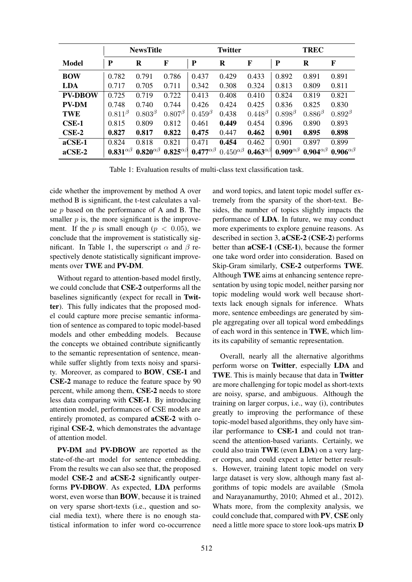|                | <b>NewsTitle</b>      |                       |                       | <b>Twitter</b>        |                       |                       | TREC                  |                       |                       |
|----------------|-----------------------|-----------------------|-----------------------|-----------------------|-----------------------|-----------------------|-----------------------|-----------------------|-----------------------|
| Model          | ${\bf P}$             | R                     | $\mathbf F$           | ${\bf P}$             | R                     | F                     | P                     | R                     | $\mathbf F$           |
| <b>BOW</b>     | 0.782                 | 0.791                 | 0.786                 | 0.437                 | 0.429                 | 0.433                 | 0.892                 | 0.891                 | 0.891                 |
| LDA            | 0.717                 | 0.705                 | 0.711                 | 0.342                 | 0.308                 | 0.324                 | 0.813                 | 0.809                 | 0.811                 |
| <b>PV-DBOW</b> | 0.725                 | 0.719                 | 0.722                 | 0.413                 | 0.408                 | 0.410                 | 0.824                 | 0.819                 | 0.821                 |
| <b>PV-DM</b>   | 0.748                 | 0.740                 | 0.744                 | 0.426                 | 0.424                 | 0.425                 | 0.836                 | 0.825                 | 0.830                 |
| <b>TWE</b>     | $0.811^{\beta}$       | $0.803^{\beta}$       | $0.807^{\beta}$       | $0.459^{\beta}$       | 0.438                 | $0.448^{\beta}$       | $0.898^{\beta}$       | $0.886^{\beta}$       | $0.892^{\beta}$       |
| $CSE-1$        | 0.815                 | 0.809                 | 0.812                 | 0.461                 | 0.449                 | 0.454                 | 0.896                 | 0.890                 | 0.893                 |
| $CSE-2$        | 0.827                 | 0.817                 | 0.822                 | 0.475                 | 0.447                 | 0.462                 | 0.901                 | 0.895                 | 0.898                 |
| $aCSE-1$       | 0.824                 | 0.818                 | 0.821                 | 0.471                 | 0.454                 | 0.462                 | 0.901                 | 0.897                 | 0.899                 |
| $\alpha$ CSE-2 | $0.831^{\alpha\beta}$ | $0.820^{\alpha\beta}$ | $0.825^{\alpha\beta}$ | $0.477^{\alpha\beta}$ | $0.450^{\alpha\beta}$ | $0.463^{\alpha\beta}$ | $0.909^{\alpha\beta}$ | $0.904^{\alpha\beta}$ | $0.906^{\alpha\beta}$ |

Table 1: Evaluation results of multi-class text classification task.

cide whether the improvement by method A over method B is significant, the t-test calculates a value  $p$  based on the performance of A and B. The smaller  $p$  is, the more significant is the improvement. If the p is small enough ( $p < 0.05$ ), we conclude that the improvement is statistically significant. In Table 1, the superscript  $\alpha$  and  $\beta$  respectively denote statistically significant improvements over TWE and PV-DM.

Without regard to attention-based model firstly, we could conclude that CSE-2 outperforms all the baselines significantly (expect for recall in Twitter). This fully indicates that the proposed model could capture more precise semantic information of sentence as compared to topic model-based models and other embedding models. Because the concepts we obtained contribute significantly to the semantic representation of sentence, meanwhile suffer slightly from texts noisy and sparsity. Moreover, as compared to BOW, CSE-1 and CSE-2 manage to reduce the feature space by 90 percent, while among them, CSE-2 needs to store less data comparing with CSE-1. By introducing attention model, performances of CSE models are entirely promoted, as compared aCSE-2 with original CSE-2, which demonstrates the advantage of attention model.

PV-DM and PV-DBOW are reported as the state-of-the-art model for sentence embedding. From the results we can also see that, the proposed model CSE-2 and aCSE-2 significantly outperforms PV-DBOW. As expected, LDA performs worst, even worse than BOW, because it is trained on very sparse short-texts (i.e., question and social media text), where there is no enough statistical information to infer word co-occurrence and word topics, and latent topic model suffer extremely from the sparsity of the short-text. Besides, the number of topics slightly impacts the performance of LDA. In future, we may conduct more experiments to explore genuine reasons. As described in section 3, aCSE-2 (CSE-2) performs better than aCSE-1 (CSE-1), because the former one take word order into consideration. Based on Skip-Gram similarly, CSE-2 outperforms TWE. Although TWE aims at enhancing sentence representation by using topic model, neither parsing nor topic modeling would work well because shorttexts lack enough signals for inference. Whats more, sentence embeedings are generated by simple aggregating over all topical word embeddings of each word in this sentence in TWE, which limits its capability of semantic representation.

Overall, nearly all the alternative algorithms perform worse on Twitter, especially LDA and TWE. This is mainly because that data in Twitter are more challenging for topic model as short-texts are noisy, sparse, and ambiguous. Although the training on larger corpus, i.e., way (i), contributes greatly to improving the performance of these topic-model based algorithms, they only have similar performance to CSE-1 and could not transcend the attention-based variants. Certainly, we could also train TWE (even LDA) on a very larger corpus, and could expect a letter better results. However, training latent topic model on very large dataset is very slow, although many fast algorithms of topic models are available (Smola and Narayanamurthy, 2010; Ahmed et al., 2012). Whats more, from the complexity analysis, we could conclude that, compared with PV, CSE only need a little more space to store look-ups matrix D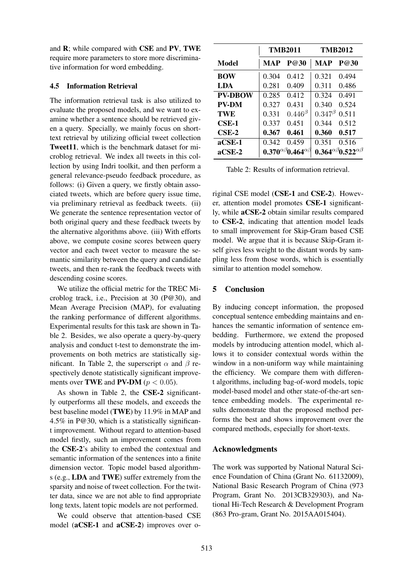and R; while compared with CSE and PV, TWE require more parameters to store more discriminative information for word embedding.

### 4.5 Information Retrieval

The information retrieval task is also utilized to evaluate the proposed models, and we want to examine whether a sentence should be retrieved given a query. Specially, we mainly focus on shorttext retrieval by utilizing official tweet collection Tweet11, which is the benchmark dataset for microblog retrieval. We index all tweets in this collection by using Indri toolkit, and then perform a general relevance-pseudo feedback procedure, as follows: (i) Given a query, we firstly obtain associated tweets, which are before query issue time, via preliminary retrieval as feedback tweets. (ii) We generate the sentence representation vector of both original query and these feedback tweets by the alternative algorithms above. (iii) With efforts above, we compute cosine scores between query vector and each tweet vector to measure the semantic similarity between the query and candidate tweets, and then re-rank the feedback tweets with descending cosine scores.

We utilize the official metric for the TREC Microblog track, i.e., Precision at 30 (P@30), and Mean Average Precision (MAP), for evaluating the ranking performance of different algorithms. Experimental results for this task are shown in Table 2. Besides, we also operate a query-by-query analysis and conduct t-test to demonstrate the improvements on both metrics are statistically significant. In Table 2, the superscript  $\alpha$  and  $\beta$  respectively denote statistically significant improvements over TWE and PV-DM ( $p < 0.05$ ).

As shown in Table 2, the CSE-2 significantly outperforms all these models, and exceeds the best baseline model (TWE) by 11.9% in MAP and 4.5% in P@30, which is a statistically significant improvement. Without regard to attention-based model firstly, such an improvement comes from the CSE-2's ability to embed the contextual and semantic information of the sentences into a finite dimension vector. Topic model based algorithms (e.g., LDA and TWE) suffer extremely from the sparsity and noise of tweet collection. For the twitter data, since we are not able to find appropriate long texts, latent topic models are not performed.

We could observe that attention-based CSE model (aCSE-1 and aCSE-2) improves over o-

|                |       | <b>TMB2011</b>                           | <b>TMB2012</b> |                                          |  |  |
|----------------|-------|------------------------------------------|----------------|------------------------------------------|--|--|
| Model          | MAP   | P@30                                     | <b>MAP</b>     | P@30                                     |  |  |
| <b>BOW</b>     | 0.304 | 0.412                                    | 0.321          | 0.494                                    |  |  |
| <b>LDA</b>     | 0.281 | 0.409                                    | 0.311          | 0.486                                    |  |  |
| <b>PV-DROW</b> | 0.285 | 0.412                                    | 0.324          | 0.491                                    |  |  |
| <b>PV-DM</b>   | 0.327 | 0.431                                    | 0.340          | 0.524                                    |  |  |
| <b>TWE</b>     | 0.331 | $0.446^\beta$                            | $0.347^\beta$  | 0.511                                    |  |  |
| $CSE-1$        | 0.337 | 0.451                                    | 0.344          | 0.512                                    |  |  |
| $CSE-2$        | 0.367 | 0.461                                    | 0.360          | 0.517                                    |  |  |
| $\alpha$ CSE-1 | 0.342 | 0.459                                    | 0.351          | 0.516                                    |  |  |
| $\alpha$ CSE-2 |       | $0.370^{\alpha\beta}0.464^{\alpha\beta}$ |                | $0.364^{\alpha\beta}0.522^{\alpha\beta}$ |  |  |

Table 2: Results of information retrieval.

riginal CSE model (CSE-1 and CSE-2). However, attention model promotes CSE-1 significantly, while aCSE-2 obtain similar results compared to CSE-2, indicating that attention model leads to small improvement for Skip-Gram based CSE model. We argue that it is because Skip-Gram itself gives less weight to the distant words by sampling less from those words, which is essentially similar to attention model somehow.

# 5 Conclusion

By inducing concept information, the proposed conceptual sentence embedding maintains and enhances the semantic information of sentence embedding. Furthermore, we extend the proposed models by introducing attention model, which allows it to consider contextual words within the window in a non-uniform way while maintaining the efficiency. We compare them with different algorithms, including bag-of-word models, topic model-based model and other state-of-the-art sentence embedding models. The experimental results demonstrate that the proposed method performs the best and shows improvement over the compared methods, especially for short-texts.

# Acknowledgments

The work was supported by National Natural Science Foundation of China (Grant No. 61132009), National Basic Research Program of China (973 Program, Grant No. 2013CB329303), and National Hi-Tech Research & Development Program (863 Pro-gram, Grant No. 2015AA015404).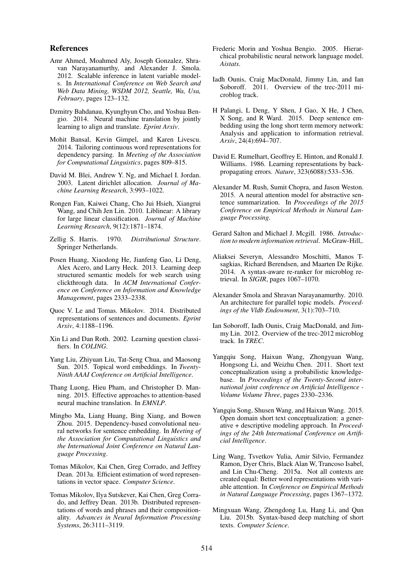#### References

- Amr Ahmed, Moahmed Aly, Joseph Gonzalez, Shravan Narayanamurthy, and Alexander J. Smola. 2012. Scalable inference in latent variable models. In *International Conference on Web Search and Web Data Mining, WSDM 2012, Seattle, Wa, Usa, February*, pages 123–132.
- Dzmitry Bahdanau, Kyunghyun Cho, and Yoshua Bengio. 2014. Neural machine translation by jointly learning to align and translate. *Eprint Arxiv*.
- Mohit Bansal, Kevin Gimpel, and Karen Livescu. 2014. Tailoring continuous word representations for dependency parsing. In *Meeting of the Association for Computational Linguistics*, pages 809–815.
- David M. Blei, Andrew Y. Ng, and Michael I. Jordan. 2003. Latent dirichlet allocation. *Journal of Machine Learning Research*, 3:993–1022.
- Rongen Fan, Kaiwei Chang, Cho Jui Hsieh, Xiangrui Wang, and Chih Jen Lin. 2010. Liblinear: A library for large linear classification. *Journal of Machine Learning Research*, 9(12):1871–1874.
- Zellig S. Harris. 1970. *Distributional Structure*. Springer Netherlands.
- Posen Huang, Xiaodong He, Jianfeng Gao, Li Deng, Alex Acero, and Larry Heck. 2013. Learning deep structured semantic models for web search using clickthrough data. In *ACM International Conference on Conference on Information and Knowledge Management*, pages 2333–2338.
- Quoc V. Le and Tomas. Mikolov. 2014. Distributed representations of sentences and documents. *Eprint Arxiv*, 4:1188–1196.
- Xin Li and Dan Roth. 2002. Learning question classifiers. In *COLING*.
- Yang Liu, Zhiyuan Liu, Tat-Seng Chua, and Maosong Sun. 2015. Topical word embeddings. In *Twenty-Ninth AAAI Conference on Artificial Intelligence*.
- Thang Luong, Hieu Pham, and Christopher D. Manning. 2015. Effective approaches to attention-based neural machine translation. In *EMNLP*.
- Mingbo Ma, Liang Huang, Bing Xiang, and Bowen Zhou. 2015. Dependency-based convolutional neural networks for sentence embedding. In *Meeting of the Association for Computational Linguistics and the International Joint Conference on Natural Language Processing*.
- Tomas Mikolov, Kai Chen, Greg Corrado, and Jeffrey Dean. 2013a. Efficient estimation of word representations in vector space. *Computer Science*.
- Tomas Mikolov, Ilya Sutskever, Kai Chen, Greg Corrado, and Jeffrey Dean. 2013b. Distributed representations of words and phrases and their compositionality. *Advances in Neural Information Processing Systems*, 26:3111–3119.
- Frederic Morin and Yoshua Bengio. 2005. Hierarchical probabilistic neural network language model. *Aistats*.
- Iadh Ounis, Craig MacDonald, Jimmy Lin, and Ian Soboroff. 2011. Overview of the trec-2011 microblog track.
- H Palangi, L Deng, Y Shen, J Gao, X He, J Chen, X Song, and R Ward. 2015. Deep sentence embedding using the long short term memory network: Analysis and application to information retrieval. *Arxiv*, 24(4):694–707.
- David E. Rumelhart, Geoffrey E. Hinton, and Ronald J. Williams. 1986. Learning representations by backpropagating errors. *Nature*, 323(6088):533–536.
- Alexander M. Rush, Sumit Chopra, and Jason Weston. 2015. A neural attention model for abstractive sentence summarization. In *Proceedings of the 2015 Conference on Empirical Methods in Natural Language Processing*.
- Gerard Salton and Michael J. Mcgill. 1986. *Introduction to modern information retrieval*. McGraw-Hill,.
- Aliaksei Severyn, Alessandro Moschitti, Manos Tsagkias, Richard Berendsen, and Maarten De Rijke. 2014. A syntax-aware re-ranker for microblog retrieval. In *SIGIR*, pages 1067–1070.
- Alexander Smola and Shravan Narayanamurthy. 2010. An architecture for parallel topic models. *Proceedings of the Vldb Endowment*, 3(1):703–710.
- Ian Soboroff, Iadh Ounis, Craig MacDonald, and Jimmy Lin. 2012. Overview of the trec-2012 microblog track. In *TREC*.
- Yangqiu Song, Haixun Wang, Zhongyuan Wang, Hongsong Li, and Weizhu Chen. 2011. Short text conceptualization using a probabilistic knowledgebase. In *Proceedings of the Twenty-Second international joint conference on Artificial Intelligence - Volume Volume Three*, pages 2330–2336.
- Yangqiu Song, Shusen Wang, and Haixun Wang. 2015. Open domain short text conceptualization: a generative + descriptive modeling approach. In *Proceedings of the 24th International Conference on Artificial Intelligence*.
- Ling Wang, Tsvetkov Yulia, Amir Silvio, Fermandez Ramon, Dyer Chris, Black Alan W, Trancoso Isabel, and Lin Chu-Cheng. 2015a. Not all contexts are created equal: Better word representations with variable attention. In *Conference on Empirical Methods in Natural Language Processing*, pages 1367–1372.
- Mingxuan Wang, Zhengdong Lu, Hang Li, and Qun Liu. 2015b. Syntax-based deep matching of short texts. *Computer Science*.